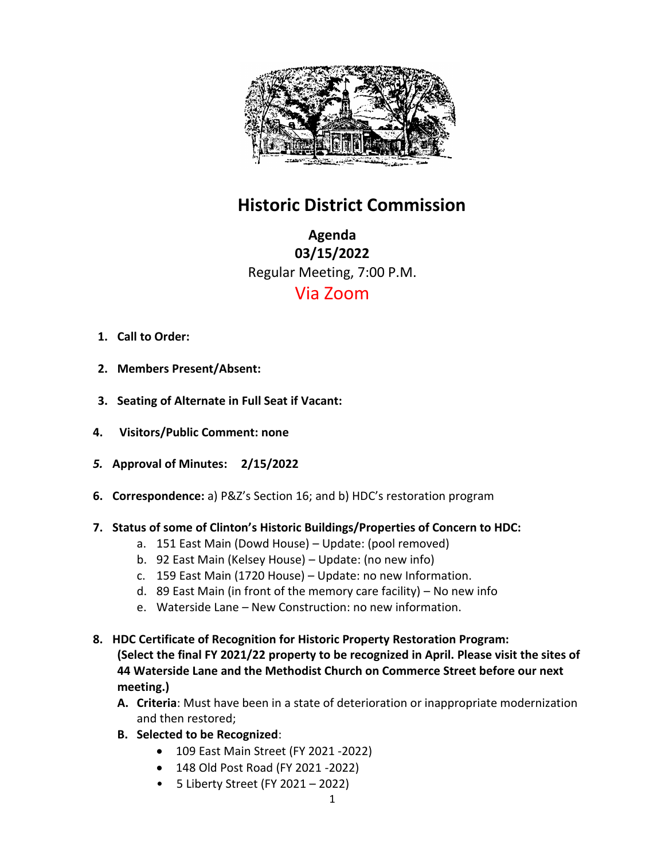

## **Historic District Commission**

**Agenda 03/15/2022** Regular Meeting, 7:00 P.M. Via Zoom

- **1. Call to Order:**
- **2. Members Present/Absent:**
- **3. Seating of Alternate in Full Seat if Vacant:**
- **4. Visitors/Public Comment: none**
- *5.* **Approval of Minutes: 2/15/2022**
- **6. Correspondence:** a) P&Z's Section 16; and b) HDC's restoration program
- **7. Status of some of Clinton's Historic Buildings/Properties of Concern to HDC:**
	- a. 151 East Main (Dowd House) Update: (pool removed)
	- b. 92 East Main (Kelsey House) Update: (no new info)
	- c. 159 East Main (1720 House) Update: no new Information.
	- d. 89 East Main (in front of the memory care facility) No new info
	- e. Waterside Lane New Construction: no new information.
- **8. HDC Certificate of Recognition for Historic Property Restoration Program: (Select the final FY 2021/22 property to be recognized in April. Please visit the sites of 44 Waterside Lane and the Methodist Church on Commerce Street before our next meeting.)** 
	- **A. Criteria**: Must have been in a state of deterioration or inappropriate modernization and then restored;
	- **B. Selected to be Recognized**:
		- 109 East Main Street (FY 2021 -2022)
		- 148 Old Post Road (FY 2021 -2022)
		- 5 Liberty Street (FY 2021 2022)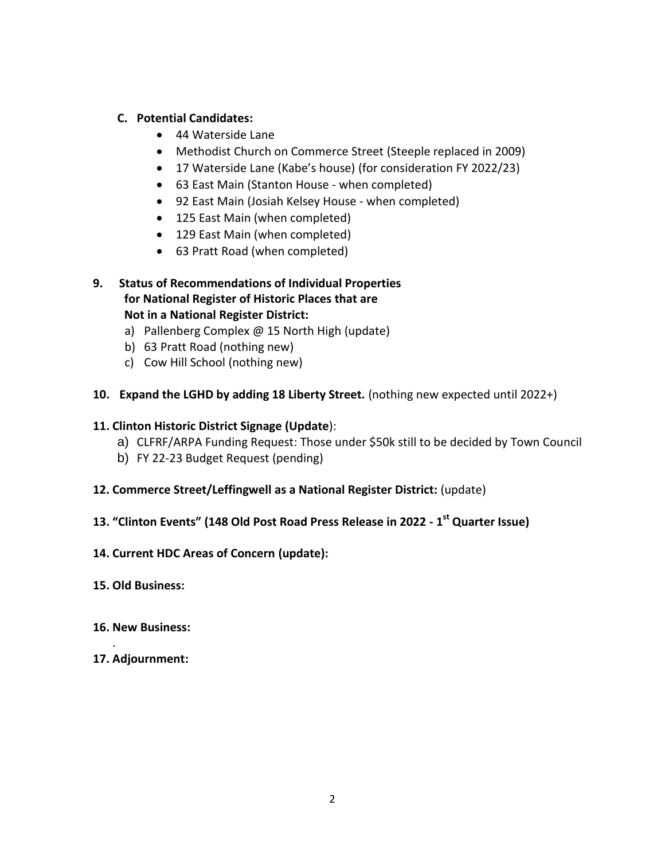## **C. Potential Candidates:**

- 44 Waterside Lane
- Methodist Church on Commerce Street (Steeple replaced in 2009)
- 17 Waterside Lane (Kabe's house) (for consideration FY 2022/23)
- 63 East Main (Stanton House when completed)
- 92 East Main (Josiah Kelsey House when completed)
- 125 East Main (when completed)
- 129 East Main (when completed)
- 63 Pratt Road (when completed)
- **9. Status of Recommendations of Individual Properties for National Register of Historic Places that are Not in a National Register District:**
	- a) Pallenberg Complex @ 15 North High (update)
	- b) 63 Pratt Road (nothing new)
	- c) Cow Hill School (nothing new)
- **10. Expand the LGHD by adding 18 Liberty Street.** (nothing new expected until 2022+)

## **11. Clinton Historic District Signage (Update**):

- a) CLFRF/ARPA Funding Request: Those under \$50k still to be decided by Town Council
- b) FY 22-23 Budget Request (pending)
- **12. Commerce Street/Leffingwell as a National Register District:** (update)
- **13. "Clinton Events" (148 Old Post Road Press Release in 2022 - 1 st Quarter Issue)**
- **14. Current HDC Areas of Concern (update):**
- **15. Old Business:**
- **16. New Business:**
- **17. Adjournment:**

.